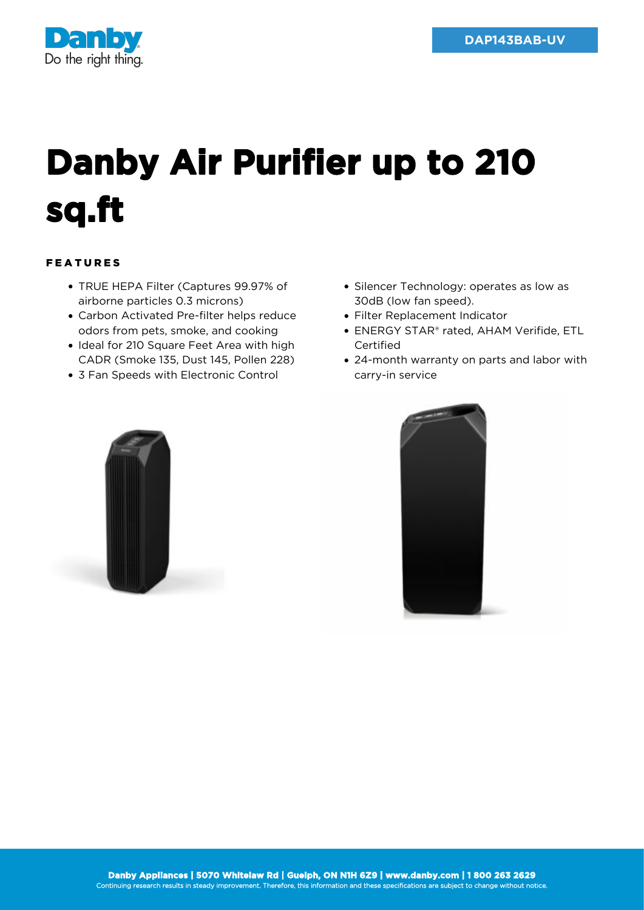

## **Danby Air Purifier up to 210 sq.ft**

## FEATURES

- TRUE HEPA Filter (Captures 99.97% of airborne particles 0.3 microns)
- Carbon Activated Pre-filter helps reduce odors from pets, smoke, and cooking
- Ideal for 210 Square Feet Area with high CADR (Smoke 135, Dust 145, Pollen 228)
- 3 Fan Speeds with Electronic Control
- Silencer Technology: operates as low as 30dB (low fan speed).
- Filter Replacement Indicator
- ENERGY STAR® rated, AHAM Verifide, ETL Certified
- 24-month warranty on parts and labor with carry-in service